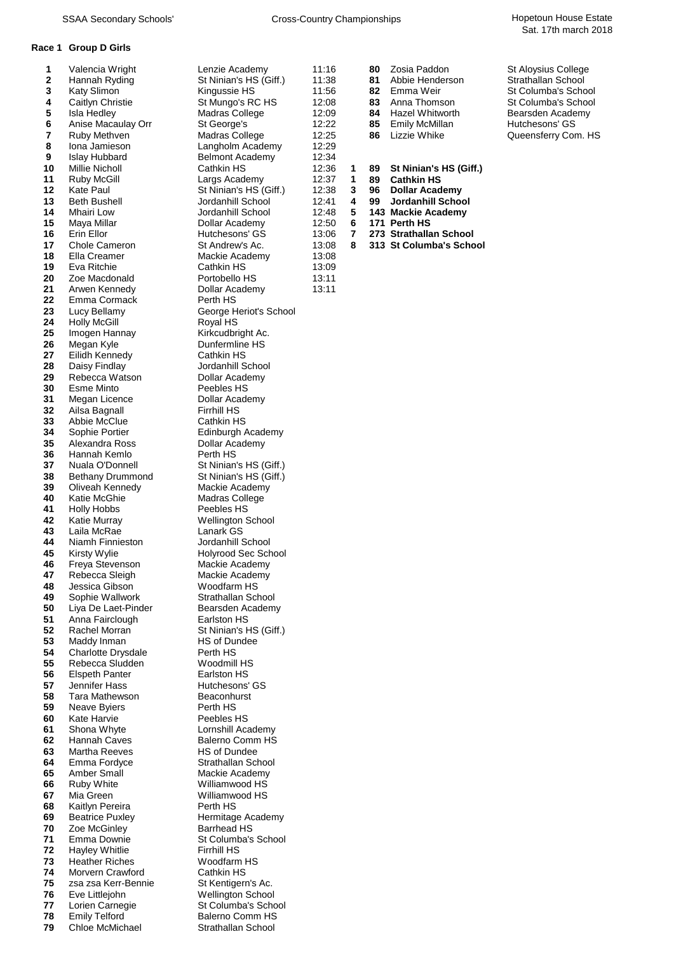### **Race 1 Group D Girls**

| 1        | Valencia Wright                           |
|----------|-------------------------------------------|
| 2        | Hannah Ryding                             |
| 3<br>4   | Katy Slimon<br>Caitlyn Christie           |
| 5        | Isla Hedley                               |
| 6        | Anise Macaulay Orr                        |
| 7        | Ruby Methven                              |
| 8<br>9   | Iona Jamieson                             |
| 10       | <b>Islay Hubbard</b><br>Millie Nicholl    |
| 11       | Ruby McGill                               |
| 12       | Kate Paul                                 |
| 13       | <b>Beth Bushell</b>                       |
| 14<br>15 | Mhairi Low<br>Maya Millar                 |
| 16       | Erin Ellor                                |
| 17       | Chole Cameron                             |
| 18       | Ella Creamer                              |
| 19       | Eva Ritchie                               |
| 20<br>21 | Zoe Macdonald<br>Arwen Kennedy            |
| 22       | Emma Cormack                              |
| 23       | Lucy Bellamy                              |
| 24       | <b>Holly McGill</b>                       |
| 25       | Imogen Hannay                             |
| 26<br>27 | Megan Kyle<br>Eilidh Kennedy              |
| 28       | Daisy Findlay                             |
| 29       | Rebecca Watson                            |
| 30       | Esme Minto                                |
| 31<br>32 | Megan Licence<br>Ailsa Bagnall            |
| 33       | Abbie McClue                              |
| 34       | Sophie Portier                            |
| 35       | Alexandra Ross                            |
| 36<br>37 | Hannah Kemlo<br>Nuala O'Donnell           |
| 38       | <b>Bethany Drummond</b>                   |
| 39       | Oliveah Kennedy                           |
| 40       | Katie McGhie                              |
| 41<br>42 | Holly Hobbs<br>Katie Murray               |
| 43       | Laila McRae                               |
| 44       | Niamh Finnieston                          |
| 45       | Kirsty Wylie                              |
| 46       | Freya Stevenson                           |
| 47<br>48 | Rebecca Sleigh<br>Jessica Gibson          |
| 49       | Sophie Wallwork                           |
| 50       | Liya De Laet-Pinder                       |
| 51       | Anna Fairclough                           |
| 52<br>53 | Rachel Morran<br>Maddy Inman              |
| 54       | Charlotte Drysdale                        |
| 55       | Rebecca Sludden                           |
| 56       | <b>Elspeth Panter</b>                     |
| 57<br>58 | Jennifer Hass<br>Tara Mathewson           |
| 59       | Neave Byiers                              |
| 60       | Kate Harvie                               |
| 61       | Shona Whyte                               |
| 62<br>63 | Hannah Caves<br>Martha Reeves             |
| 64       | Emma Fordyce                              |
| 65       | <b>Amber Small</b>                        |
| 66       | Ruby White                                |
| 67       | Mia Green                                 |
| 68<br>69 | Kaitlyn Pereira<br><b>Beatrice Puxley</b> |
| 70       | Zoe McGinley                              |
| 71       | Emma Downie                               |
| 72       | <b>Hayley Whitlie</b>                     |
| 73<br>74 | <b>Heather Riches</b><br>Morvern Crawford |
| 75       | zsa zsa Kerr-Bennie                       |
| 76       | Eve Littlejohn                            |
| 77       | Lorien Carnegie                           |
| 78       | <b>Emily Telford</b>                      |

**2** St Ninian's HS (Giff.) **12:29 Ional Langholm Academy** 12:29 **9** Belmont Academy 12:34<br>Cathkin HS 12:36 Largs Academy 12:37 **1 89 Cathkin HS**<br>St Ninian's HS (Giff.) 12:38 **3 96 Dollar Academy 12:38** St Ninian's HS (Giff.) 12:38<br>**Jordanhill School** 12:41 **143 Mackie Academy**<br> **12:48 5 143 Mackie Academy**<br> **12:50 6 171 Perth HS 12:50 6** May 12:50 **6 13:06 7 273 Strathallan School**<br>
St Andrew's Ac. 13:08 8 313 St Columba's Scho **13:08** Mackie Academy 13:08<br>Cathkin HS 13:09 **Cathkin HS** Portobello HS 13:11<br>Dollar Academy 13:11 **2** Dollar Academy **Perth HS George Heriot's School Royal HS** Kirkcudbright Ac. **Dunfermline HS 2** Cathkin HS Jordanhill School **Dollar Academy** Peebles HS **Dollar Academy Firrhill HS Cathkin HS Edinburgh Academy 356 Academy Perth HS St Ninian's HS (Giff.) St Ninian's HS (Giff.) Mackie Academy Madras College** Peebles HS **Wellington School** Lanark GS **Jordanhill School Holyrood Sec School Mackie Academy Mackie Academy Woodfarm HS Strathallan School Bearsden Academy Earlston HS St Ninian's HS (Giff.) HS of Dundee Perth HS Woodmill HS Earlston HS Hutchesons' GS Beaconhurst Perth HS Peebles HS Lornshill Academy Balerno Comm HS HS of Dundee Strathallan School Mackie Academy** Williamwood HS **Williamwood HS Perth HS Hermitage Academy Barrhead HS** *St Columba's School* **Firrhill HS Woodfarm HS Cathkin HS** *St* Kentigern's Ac. **Wellington School** *St Columba's School* **Balerno Comm HS 79** Chloe McMichael Strathallan School

| Lenzie Academy         | 11:16 | 80. | Zosia Paddon       | <b>St Aloysius College</b> |
|------------------------|-------|-----|--------------------|----------------------------|
| St Ninian's HS (Giff.) | 11:38 | 81  | Abbie Henderson    | Strathallan School         |
| Kingussie HS           | 11:56 |     | 82 Emma Weir       | St Columba's School        |
| St Mungo's RC HS       | 12:08 | 83. | Anna Thomson       | St Columba's School        |
| Madras College         | 12:09 |     | 84 Hazel Whitworth | Bearsden Academy           |
| St George's            | 12:22 | 85. | Emily McMillan     | Hutchesons' GS             |
| Madras College         | 12:25 | 86. | Lizzie Whike       | Queensferry Com. HS        |
| Langholm Academy       | 12:29 |     |                    |                            |
|                        |       |     |                    |                            |

- **10** Millie Nicholl Cathkin HS 12:36 **1 89 St Ninian's HS (Giff.)**
	-
	-
	- **13** Beth Bushell Jordanhill School 12:41 **4 99 Jordanhill School**
	-
	-
	-
- **13:08 8 313 St Columba's School 13:08**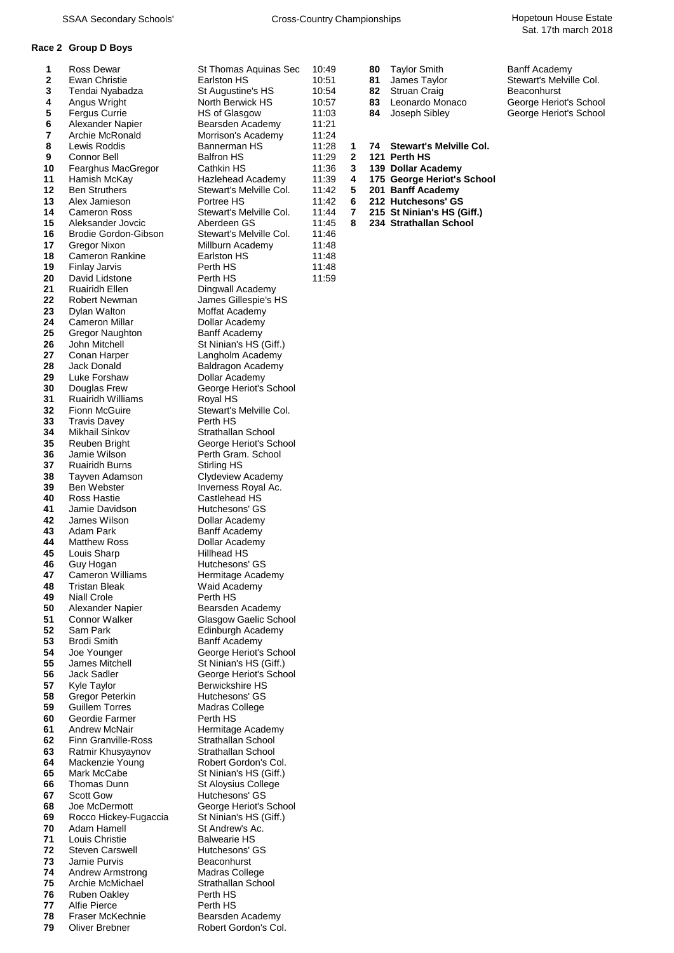## **Race 2 Group D Boys**

| 1        | Ross Dewar                 | St Thomas Aquinas Sec   | 10:49 |   | 80 | <b>Taylor Smith</b>            | Banff Academy           |
|----------|----------------------------|-------------------------|-------|---|----|--------------------------------|-------------------------|
| 2        | Ewan Christie              | Earlston HS             | 10:51 |   | 81 | James Taylor                   | <b>Stewart's Melvil</b> |
| 3        | Tendai Nyabadza            | St Augustine's HS       | 10:54 |   | 82 | <b>Struan Craig</b>            | Beaconhurst             |
| 4        | Angus Wright               | North Berwick HS        | 10:57 |   | 83 | Leonardo Monaco                | George Heriot's         |
| 5        | <b>Fergus Currie</b>       | HS of Glasgow           | 11:03 |   | 84 | Joseph Sibley                  | George Heriot's         |
| 6        | Alexander Napier           | Bearsden Academy        | 11:21 |   |    |                                |                         |
| 7        | Archie McRonald            | Morrison's Academy      | 11:24 |   |    |                                |                         |
| 8        | Lewis Roddis               | Bannerman HS            | 11:28 | 1 | 74 | <b>Stewart's Melville Col.</b> |                         |
| 9        | Connor Bell                | <b>Balfron HS</b>       | 11:29 | 2 |    | 121 Perth HS                   |                         |
| 10       |                            | Cathkin HS              | 11:36 | 3 |    | 139 Dollar Academy             |                         |
|          | Fearghus MacGregor         |                         |       |   |    |                                |                         |
| 11       | Hamish McKay               | Hazlehead Academy       | 11:39 | 4 |    | 175 George Heriot's School     |                         |
| 12       | <b>Ben Struthers</b>       | Stewart's Melville Col. | 11:42 | 5 |    | 201 Banff Academy              |                         |
| 13       | Alex Jamieson              | Portree HS              | 11:42 | 6 |    | 212 Hutchesons' GS             |                         |
| 14       | <b>Cameron Ross</b>        | Stewart's Melville Col. | 11:44 | 7 |    | 215 St Ninian's HS (Giff.)     |                         |
| 15       | Aleksander Jovcic          | Aberdeen GS             | 11:45 | 8 |    | 234 Strathallan School         |                         |
| 16       | Brodie Gordon-Gibson       | Stewart's Melville Col. | 11:46 |   |    |                                |                         |
| 17       | Gregor Nixon               | Millburn Academy        | 11:48 |   |    |                                |                         |
| 18       | <b>Cameron Rankine</b>     | Earlston HS             | 11:48 |   |    |                                |                         |
| 19       | Finlay Jarvis              | Perth HS                | 11:48 |   |    |                                |                         |
| 20       | David Lidstone             | Perth HS                | 11:59 |   |    |                                |                         |
| 21       | <b>Ruairidh Ellen</b>      | Dingwall Academy        |       |   |    |                                |                         |
| 22       | Robert Newman              | James Gillespie's HS    |       |   |    |                                |                         |
| 23       | Dylan Walton               | Moffat Academy          |       |   |    |                                |                         |
| 24       | Cameron Millar             | Dollar Academy          |       |   |    |                                |                         |
| 25       | Gregor Naughton            | Banff Academy           |       |   |    |                                |                         |
| 26       | John Mitchell              | St Ninian's HS (Giff.)  |       |   |    |                                |                         |
| 27       | Conan Harper               | Langholm Academy        |       |   |    |                                |                         |
| 28       | Jack Donald                | Baldragon Academy       |       |   |    |                                |                         |
| 29       | Luke Forshaw               | Dollar Academy          |       |   |    |                                |                         |
| 30       | Douglas Frew               | George Heriot's School  |       |   |    |                                |                         |
| 31       | <b>Ruairidh Williams</b>   | Royal HS                |       |   |    |                                |                         |
| 32       | Fionn McGuire              | Stewart's Melville Col. |       |   |    |                                |                         |
|          |                            |                         |       |   |    |                                |                         |
| 33<br>34 | <b>Travis Davey</b>        | Perth HS                |       |   |    |                                |                         |
|          | Mikhail Sinkov             | Strathallan School      |       |   |    |                                |                         |
| 35       | Reuben Bright              | George Heriot's School  |       |   |    |                                |                         |
| 36       | Jamie Wilson               | Perth Gram. School      |       |   |    |                                |                         |
| 37       | <b>Ruairidh Burns</b>      | Stirling HS             |       |   |    |                                |                         |
| 38       | Tayven Adamson             | Clydeview Academy       |       |   |    |                                |                         |
| 39       | Ben Webster                | Inverness Royal Ac.     |       |   |    |                                |                         |
| 40       | Ross Hastie                | Castlehead HS           |       |   |    |                                |                         |
| 41       | Jamie Davidson             | Hutchesons' GS          |       |   |    |                                |                         |
| 42       | James Wilson               | Dollar Academy          |       |   |    |                                |                         |
| 43       | Adam Park                  | <b>Banff Academy</b>    |       |   |    |                                |                         |
| 44       | <b>Matthew Ross</b>        | Dollar Academy          |       |   |    |                                |                         |
| 45       | Louis Sharp                | <b>Hillhead HS</b>      |       |   |    |                                |                         |
| 46       | Guy Hogan                  | Hutchesons' GS          |       |   |    |                                |                         |
| 47       | <b>Cameron Williams</b>    | Hermitage Academy       |       |   |    |                                |                         |
| 48       | <b>Tristan Bleak</b>       | Waid Academy            |       |   |    |                                |                         |
| 49       | <b>Niall Crole</b>         | Perth HS                |       |   |    |                                |                         |
| 50       | Alexander Napier           | Bearsden Academy        |       |   |    |                                |                         |
| 51       | <b>Connor Walker</b>       | Glasgow Gaelic School   |       |   |    |                                |                         |
| 52       | Sam Park                   | Edinburgh Academy       |       |   |    |                                |                         |
| 53       | <b>Brodi Smith</b>         | <b>Banff Academy</b>    |       |   |    |                                |                         |
| 54       | Joe Younger                | George Heriot's School  |       |   |    |                                |                         |
| 55       | James Mitchell             | St Ninian's HS (Giff.)  |       |   |    |                                |                         |
| 56       | <b>Jack Sadler</b>         | George Heriot's School  |       |   |    |                                |                         |
| 57       | Kyle Taylor                | <b>Berwickshire HS</b>  |       |   |    |                                |                         |
| 58       | Gregor Peterkin            | Hutchesons' GS          |       |   |    |                                |                         |
| 59       | <b>Guillem Torres</b>      | Madras College          |       |   |    |                                |                         |
| 60       | Geordie Farmer             | Perth HS                |       |   |    |                                |                         |
| 61       | <b>Andrew McNair</b>       | Hermitage Academy       |       |   |    |                                |                         |
| 62       | <b>Finn Granville-Ross</b> | Strathallan School      |       |   |    |                                |                         |
| 63       | Ratmir Khusyaynov          | Strathallan School      |       |   |    |                                |                         |
| 64       | Mackenzie Young            | Robert Gordon's Col.    |       |   |    |                                |                         |
| 65       | Mark McCabe                | St Ninian's HS (Giff.)  |       |   |    |                                |                         |
| 66       | Thomas Dunn                | St Aloysius College     |       |   |    |                                |                         |
| 67       | <b>Scott Gow</b>           | Hutchesons' GS          |       |   |    |                                |                         |
| 68       | Joe McDermott              | George Heriot's School  |       |   |    |                                |                         |
| 69       | Rocco Hickey-Fugaccia      | St Ninian's HS (Giff.)  |       |   |    |                                |                         |
| 70       | Adam Hamell                | St Andrew's Ac.         |       |   |    |                                |                         |
|          | Louis Christie             |                         |       |   |    |                                |                         |
| 71       |                            | <b>Balwearie HS</b>     |       |   |    |                                |                         |
| 72       | Steven Carswell            | Hutchesons' GS          |       |   |    |                                |                         |
| 73       | Jamie Purvis               | Beaconhurst             |       |   |    |                                |                         |
| 74       | <b>Andrew Armstrong</b>    | Madras College          |       |   |    |                                |                         |
| 75       | Archie McMichael           | Strathallan School      |       |   |    |                                |                         |
| 76       | <b>Ruben Oakley</b>        | Perth HS                |       |   |    |                                |                         |
| 77       | Alfie Pierce               | Perth HS                |       |   |    |                                |                         |
| 78       | Fraser McKechnie           | Bearsden Academy        |       |   |    |                                |                         |

| Earlston HS             | 10:51 |              | 81 | James Taylor               | Stewart's Melville Col. |
|-------------------------|-------|--------------|----|----------------------------|-------------------------|
| St Augustine's HS       | 10:54 |              | 82 | <b>Struan Craig</b>        | Beaconhurst             |
| North Berwick HS        | 10:57 |              | 83 | Leonardo Monaco            | George Heriot's School  |
| <b>HS of Glasgow</b>    | 11:03 |              | 84 | Joseph Sibley              | George Heriot's School  |
| Bearsden Academy        | 11:21 |              |    |                            |                         |
| Morrison's Academy      | 11:24 |              |    |                            |                         |
| Bannerman HS            | 11:28 | 1            | 74 | Stewart's Melville Col.    |                         |
| <b>Balfron HS</b>       | 11:29 | $\mathbf{2}$ |    | 121 Perth HS               |                         |
| Cathkin HS              | 11:36 | 3            |    | 139 Dollar Academy         |                         |
| Hazlehead Academy       | 11:39 | 4            |    | 175 George Heriot's School |                         |
| Stewart's Melville Col. | 11:42 | 5.           |    | 201 Banff Academy          |                         |
| Portree HS              | 11:42 | 6            |    | 212 Hutchesons' GS         |                         |
| Stewart's Melville Col. | 11:44 | 7            |    | 215 St Ninian's HS (Giff.) |                         |
| Aberdeen GS             | 11:45 | 8            |    | 234 Strathallan School     |                         |
|                         |       |              |    |                            |                         |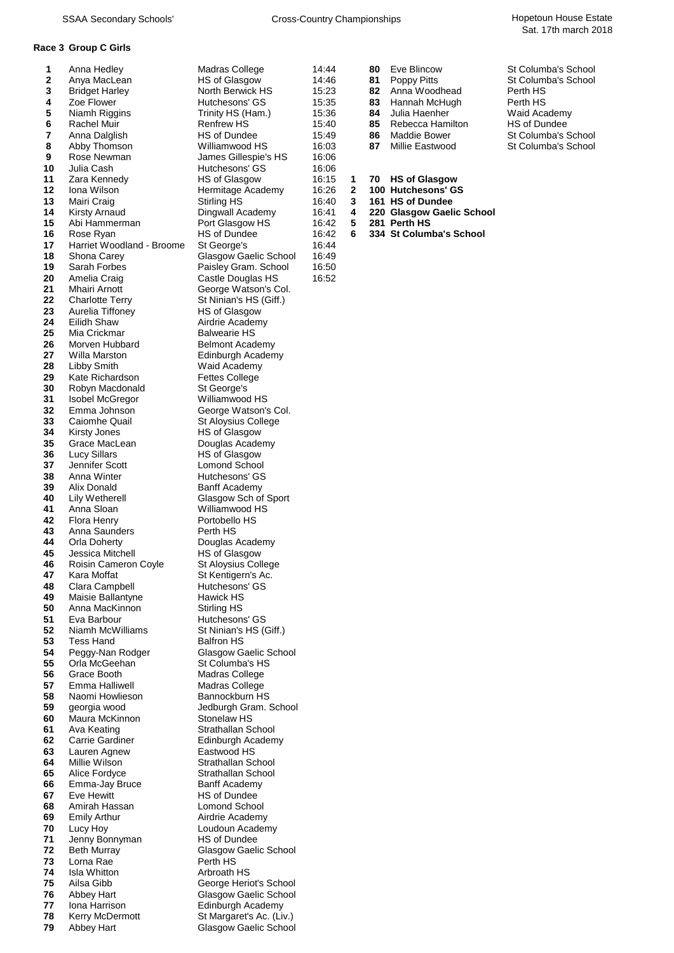#### **Race 3 Group C Girls**

| 1<br>2   | Anna Hedley<br>Anya MacLean                |
|----------|--------------------------------------------|
| 3        | <b>Bridget Harley</b>                      |
| 4        | Zoe Flower                                 |
| 5        | Niamh Riggins                              |
| 6<br>7   | Rachel Muir<br>Anna Dalglish               |
| 8        | Abby Thomson                               |
| 9        | Rose Newman                                |
| 10       | Julia Cash                                 |
| 11<br>12 | Zara Kennedy                               |
| 13       | lona Wilson<br>Mairi Craig                 |
| 14       | Kirsty Arnaud                              |
| 15       | Abi Hammerman                              |
| 16<br>17 | Rose Ryan                                  |
| 18       | Harriet Woodland - Broon<br>Shona Carey    |
| 19       | Sarah Forbes                               |
| 20       | Amelia Craig                               |
| 21       | Mhairi Arnott                              |
| 22<br>23 | <b>Charlotte Terry</b><br>Aurelia Tiffoney |
| 24       | Eilidh Shaw                                |
| 25       | Mia Crickmar                               |
| 26       | Morven Hubbard                             |
| 27<br>28 | Willa Marston<br>Libby Smith               |
| 29       | Kate Richardson                            |
| 30       | Robyn Macdonald                            |
| 31       | <b>Isobel McGregor</b>                     |
| 32<br>33 | Emma Johnson<br>Caiomhe Quail              |
| 34       | Kirsty Jones                               |
| 35       | Grace MacLean                              |
| 36       | Lucy Sillars                               |
| 37<br>38 | Jennifer Scott<br>Anna Winter              |
| 39       | Alix Donald                                |
| 40       | Lily Wetherell                             |
| 41<br>42 | Anna Sloan<br><b>Flora Henry</b>           |
| 43       | Anna Saunders                              |
| 44       | Orla Doherty                               |
| 45       | Jessica Mitchell                           |
| 46<br>47 | Roisin Cameron Coyle<br>Kara Moffat        |
| 48       | Clara Campbell                             |
| 49       | Maisie Ballantyne                          |
| 50       | Anna MacKinnon                             |
| 51<br>52 | Eva Barbour<br>Niamh McWilliams            |
| 53       | <b>Tess Hand</b>                           |
| 54       | Peggy-Nan Rodger                           |
| 55       | Orla McGeehan                              |
| 56<br>57 | Grace Booth<br>Emma Halliwell              |
| 58       | Naomi Howlieson                            |
| 59       | georgia wood                               |
| 60       | Maura McKinnon                             |
| 61<br>62 | Ava Keating<br>Carrie Gardiner             |
| 63       | Lauren Agnew                               |
| 64       | Millie Wilson                              |
| 65       | Alice Fordyce                              |
| 66<br>67 | Emma-Jay Bruce<br>Eve Hewitt               |
| 68       | Amirah Hassan                              |
| 69       | Emily Arthur                               |
| 70       | Lucy Hoy                                   |
| 71<br>72 | Jenny Bonnyman<br><b>Beth Murray</b>       |
| 73       | Lorna Rae                                  |
| 74       | Isla Whitton                               |
| 75       | Ailsa Gibb                                 |
| 76<br>77 | <b>Abbey Hart</b><br>Iona Harrison         |
| 78       | Kerry McDermott                            |

**8** Williamwood HS 16:03<br>James Gillespie's HS 16:06 **9** James Gillespie's HS 16:06<br>
Hutchesons' GS 16:06 Hutchesons' GS 16:06<br>
HS of Glasgow 16:15 **11** Zara Kennedy HS of Glasgow 16:15 **1 70 HS of Glasgow 12** Iona Micropole Academy 16:26 **2 100 Hutchesons' GS**<br> **122 16:40 16:40 16:10 HS of Dundee 13** Mairi Craig Stirling HS 16:40 **3 161 HS of Dundee 16:42** Port Glasgow HS 16:42<br> **HS** of Dundee 16:42 16:44<br>16:44 Glasgow Gaelic School 16:49 **16:49** Gaelic School 16:49<br>**Paisley Gram. School 16:50** Paisley Gram. School 16:50<br>Castle Douglas HS 16:52 Castle Douglas HS George Watson's Col. **22** St Ninian's HS (Giff.) **HS of Glasgow** Airdrie Academy **Balwearie HS Belmont Academy** *<u>Edinburgh Academy</u>* Waid Academy **Fettes College St George's** Williamwood HS **George Watson's Col. St Aloysius College HS of Glasgow Douglas Academy HS** of Glasgow Lomond School **Hutchesons' GS Banff Academy Glasgow Sch of Sport** Williamwood HS Portobello HS **Perth HS Douglas Academy HS** of Glasgow **5t Aloysius College 5** Kentigern's Ac. Hutchesons' GS **Hawick HS Stirling HS Hutchesons' GS St Ninian's HS (Giff.) Balfron HS Glasgow Gaelic School St Columba's HS Madras College Madras College Bannockburn HS** Jedburgh Gram. School **Stonelaw HS Strathallan School Edinburgh Academy Eastwood HS Strathallan School Strathallan School Banff Academy HS of Dundee Lomond School Airdrie Academy** Loudoun Academy **HS of Dundee Glasgow Gaelic School Perth HS Arbroath HS George Heriot's School Glasgow Gaelic School Edinburgh Academy 78** Kerry McDermott St Margaret's Ac. (Liv.)<br>**79** Abbey Hart Stasgow Gaelic Schoo *Glasgow Gaelic School* 

|              | Anna Hedley           | Madras College       | 14:44 | 80 | Eve Blincow      | St Columba's School |
|--------------|-----------------------|----------------------|-------|----|------------------|---------------------|
|              |                       |                      |       |    |                  |                     |
| $\mathbf{2}$ | Anya MacLean          | <b>HS of Glasgow</b> | 14:46 | 81 | Poppy Pitts      | St Columba's School |
| 3            | <b>Bridget Harley</b> | North Berwick HS     | 15:23 | 82 | Anna Woodhead    | Perth HS            |
| 4            | Zoe Flower            | Hutchesons' GS       | 15:35 | 83 | Hannah McHugh    | Perth HS            |
| 5            | Niamh Riggins         | Trinity HS (Ham.)    | 15:36 | 84 | Julia Haenher    | Waid Academy        |
| 6.           | Rachel Muir           | Renfrew HS           | 15:40 | 85 | Rebecca Hamilton | <b>HS of Dundee</b> |
|              | Anna Dalglish         | HS of Dundee         | 15:49 | 86 | Maddie Bower     | St Columba's School |
| 8            | Abby Thomson          | Williamwood HS       | 16:03 | 87 | Millie Eastwood  | St Columba's School |
| a            | Rose Newman           | Iamae Gillaenia'e HS | 16.06 |    |                  |                     |

- 
- 
- **16:41 4 220 Glasgow Gaelic School 16:42 5 281 Perth HS** 
	-
- **16:42 6 334 St Columba's School**<br>**16:44**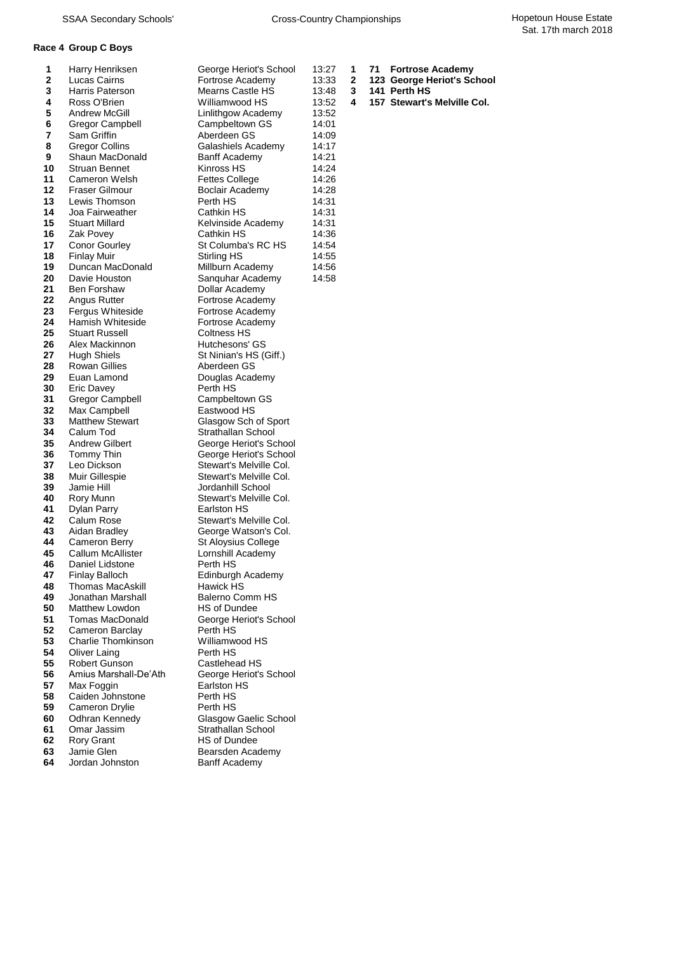## **Race 4 Group C Boys**

| 1           | Harry Henriksen         | George Heriot's School     | 13:27 | 1 | 71 | <b>Fortrose Academy</b>     |
|-------------|-------------------------|----------------------------|-------|---|----|-----------------------------|
| $\mathbf 2$ | Lucas Cairns            | Fortrose Academy           | 13:33 | 2 |    | 123 George Heriot's School  |
| 3           | Harris Paterson         | Mearns Castle HS           | 13:48 | 3 |    | 141 Perth HS                |
| 4           | Ross O'Brien            | Williamwood HS             | 13:52 | 4 |    | 157 Stewart's Melville Col. |
| 5           | Andrew McGill           | Linlithgow Academy         | 13:52 |   |    |                             |
| 6           | Gregor Campbell         | Campbeltown GS             | 14:01 |   |    |                             |
| 7           | Sam Griffin             | Aberdeen GS                | 14:09 |   |    |                             |
| 8           | Gregor Collins          | Galashiels Academy         | 14:17 |   |    |                             |
| 9           | Shaun MacDonald         | <b>Banff Academy</b>       | 14:21 |   |    |                             |
| 10          | <b>Struan Bennet</b>    | Kinross HS                 | 14:24 |   |    |                             |
| 11          | Cameron Welsh           | <b>Fettes College</b>      | 14:26 |   |    |                             |
| 12          | <b>Fraser Gilmour</b>   | Boclair Academy            | 14:28 |   |    |                             |
| 13          | Lewis Thomson           | Perth HS                   | 14:31 |   |    |                             |
| 14          | Joa Fairweather         | Cathkin HS                 | 14:31 |   |    |                             |
| 15          | <b>Stuart Millard</b>   | Kelvinside Academy         | 14:31 |   |    |                             |
| 16          | Zak Povey               | Cathkin HS                 | 14:36 |   |    |                             |
| 17          | <b>Conor Gourley</b>    | St Columba's RC HS         | 14:54 |   |    |                             |
| 18          | <b>Finlay Muir</b>      | Stirling HS                | 14:55 |   |    |                             |
| 19          | Duncan MacDonald        | Millburn Academy           | 14:56 |   |    |                             |
| 20          | Davie Houston           | Sanquhar Academy           | 14:58 |   |    |                             |
| 21          | Ben Forshaw             | Dollar Academy             |       |   |    |                             |
| 22          | Angus Rutter            | Fortrose Academy           |       |   |    |                             |
| 23          | Fergus Whiteside        | Fortrose Academy           |       |   |    |                             |
| 24          | Hamish Whiteside        | Fortrose Academy           |       |   |    |                             |
| 25          | <b>Stuart Russell</b>   | Coltness HS                |       |   |    |                             |
| 26          | Alex Mackinnon          | Hutchesons' GS             |       |   |    |                             |
| 27          | Hugh Shiels             | St Ninian's HS (Giff.)     |       |   |    |                             |
| 28          | <b>Rowan Gillies</b>    | Aberdeen GS                |       |   |    |                             |
| 29          | Euan Lamond             | Douglas Academy            |       |   |    |                             |
| 30          | <b>Eric Davey</b>       | Perth HS                   |       |   |    |                             |
| 31          | <b>Gregor Campbell</b>  | Campbeltown GS             |       |   |    |                             |
| 32          | Max Campbell            | Eastwood HS                |       |   |    |                             |
| 33          | <b>Matthew Stewart</b>  | Glasgow Sch of Sport       |       |   |    |                             |
| 34          | Calum Tod               | Strathallan School         |       |   |    |                             |
| 35          | <b>Andrew Gilbert</b>   | George Heriot's School     |       |   |    |                             |
| 36          | Tommy Thin              | George Heriot's School     |       |   |    |                             |
| 37          | Leo Dickson             | Stewart's Melville Col.    |       |   |    |                             |
| 38          | Muir Gillespie          | Stewart's Melville Col.    |       |   |    |                             |
| 39          | Jamie Hill              | Jordanhill School          |       |   |    |                             |
| 40          | Rory Munn               | Stewart's Melville Col.    |       |   |    |                             |
| 41          | Dylan Parry             | Earlston HS                |       |   |    |                             |
| 42          | Calum Rose              | Stewart's Melville Col.    |       |   |    |                             |
| 43          | Aidan Bradley           | George Watson's Col.       |       |   |    |                             |
| 44          | Cameron Berry           | <b>St Aloysius College</b> |       |   |    |                             |
| 45          | Callum McAllister       | Lornshill Academy          |       |   |    |                             |
| 46          | Daniel Lidstone         | Perth HS                   |       |   |    |                             |
| 47          | <b>Finlay Balloch</b>   | Edinburgh Academy          |       |   |    |                             |
| 48          | <b>Thomas MacAskill</b> | Hawick HS                  |       |   |    |                             |
| 49          | Jonathan Marshall       | <b>Balerno Comm HS</b>     |       |   |    |                             |
| 50          | Matthew Lowdon          | HS of Dundee               |       |   |    |                             |
| 51          | Tomas MacDonald         | George Heriot's School     |       |   |    |                             |
| 52          | Cameron Barclay         | Perth HS                   |       |   |    |                             |
| 53          | Charlie Thomkinson      | Williamwood HS             |       |   |    |                             |
| 54          | Oliver Laing            | Perth HS                   |       |   |    |                             |
| 55          | Robert Gunson           | Castlehead HS              |       |   |    |                             |
| 56          | Amius Marshall-De'Ath   | George Heriot's School     |       |   |    |                             |
| 57          | Max Foggin              | Earlston HS                |       |   |    |                             |
| 58          | Caiden Johnstone        | Perth HS                   |       |   |    |                             |
| 59          | Cameron Drylie          | Perth HS                   |       |   |    |                             |
| 60          | Odhran Kennedy          | Glasgow Gaelic School      |       |   |    |                             |
| 61          | Omar Jassim             | Strathallan School         |       |   |    |                             |
| 62          | <b>Rory Grant</b>       | HS of Dundee               |       |   |    |                             |
| 63          | Jamie Glen              | Bearsden Academy           |       |   |    |                             |
| 64          | Jordan Johnston         | Banff Academy              |       |   |    |                             |

| 71 Fortrose Academy |  |
|---------------------|--|
|---------------------|--|

- 
-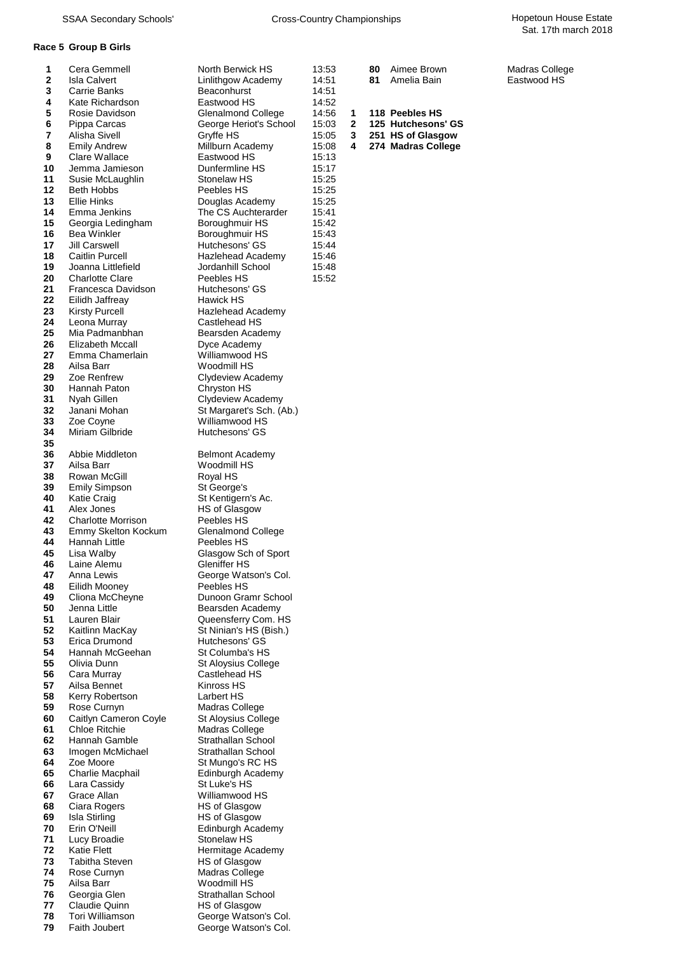### **Race 5 Group B Girls**

| 1        | Cera Gemmell                                | North Berwick HS                          | 13:53          |              | 80 | Aimee Brown        | Madras College |
|----------|---------------------------------------------|-------------------------------------------|----------------|--------------|----|--------------------|----------------|
| 2<br>3   | <b>Isla Calvert</b><br>Carrie Banks         | Linlithgow Academy<br>Beaconhurst         | 14:51<br>14:51 |              | 81 | Amelia Bain        | Eastwood HS    |
| 4        | Kate Richardson                             | Eastwood HS                               | 14:52          |              |    |                    |                |
| 5        | Rosie Davidson                              | <b>Glenalmond College</b>                 | 14:56          | 1            |    | 118 Peebles HS     |                |
| 6        | Pippa Carcas                                | George Heriot's School                    | 15:03          | $\mathbf{2}$ |    | 125 Hutchesons' GS |                |
| 7        | Alisha Sivell                               | Gryffe HS                                 | 15:05          | 3            |    | 251 HS of Glasgow  |                |
| 8        | <b>Emily Andrew</b>                         | Millburn Academy                          | 15:08          | 4            |    | 274 Madras College |                |
| 9        | Clare Wallace                               | Eastwood HS                               | 15:13          |              |    |                    |                |
| 10       | Jemma Jamieson                              | Dunfermline HS                            | 15:17          |              |    |                    |                |
| 11       | Susie McLaughlin                            | Stonelaw HS                               | 15:25          |              |    |                    |                |
| 12       | Beth Hobbs                                  | Peebles HS                                | 15:25          |              |    |                    |                |
| 13<br>14 | Ellie Hinks<br>Emma Jenkins                 | Douglas Academy<br>The CS Auchterarder    | 15:25<br>15:41 |              |    |                    |                |
| 15       | Georgia Ledingham                           | Boroughmuir HS                            | 15:42          |              |    |                    |                |
| 16       | Bea Winkler                                 | Boroughmuir HS                            | 15:43          |              |    |                    |                |
| 17       | Jill Carswell                               | Hutchesons' GS                            | 15:44          |              |    |                    |                |
| 18       | <b>Caitlin Purcell</b>                      | Hazlehead Academy                         | 15:46          |              |    |                    |                |
| 19       | Joanna Littlefield                          | Jordanhill School                         | 15:48          |              |    |                    |                |
| 20       | <b>Charlotte Clare</b>                      | Peebles HS                                | 15:52          |              |    |                    |                |
| 21       | Francesca Davidson                          | Hutchesons' GS                            |                |              |    |                    |                |
| 22       | Eilidh Jaffreay                             | Hawick HS                                 |                |              |    |                    |                |
| 23<br>24 | Kirsty Purcell<br>Leona Murray              | Hazlehead Academy<br>Castlehead HS        |                |              |    |                    |                |
| 25       | Mia Padmanbhan                              | Bearsden Academy                          |                |              |    |                    |                |
| 26       | Elizabeth Mccall                            | Dyce Academy                              |                |              |    |                    |                |
| 27       | Emma Chamerlain                             | Williamwood HS                            |                |              |    |                    |                |
| 28       | Ailsa Barr                                  | Woodmill HS                               |                |              |    |                    |                |
| 29       | Zoe Renfrew                                 | Clydeview Academy                         |                |              |    |                    |                |
| 30       | Hannah Paton                                | Chryston HS                               |                |              |    |                    |                |
| 31       | Nyah Gillen                                 | Clydeview Academy                         |                |              |    |                    |                |
| 32       | Janani Mohan                                | St Margaret's Sch. (Ab.)                  |                |              |    |                    |                |
| 33       | Zoe Coyne                                   | Williamwood HS                            |                |              |    |                    |                |
| 34<br>35 | Miriam Gilbride                             | Hutchesons' GS                            |                |              |    |                    |                |
| 36       | Abbie Middleton                             | <b>Belmont Academy</b>                    |                |              |    |                    |                |
| 37       | Ailsa Barr                                  | Woodmill HS                               |                |              |    |                    |                |
| 38       | Rowan McGill                                | Royal HS                                  |                |              |    |                    |                |
| 39       | <b>Emily Simpson</b>                        | St George's                               |                |              |    |                    |                |
| 40       | <b>Katie Craig</b>                          | St Kentigern's Ac.                        |                |              |    |                    |                |
| 41       | Alex Jones                                  | <b>HS of Glasgow</b>                      |                |              |    |                    |                |
| 42       | <b>Charlotte Morrison</b>                   | Peebles HS                                |                |              |    |                    |                |
| 43       | Emmy Skelton Kockum<br>Hannah Little        | <b>Glenalmond College</b>                 |                |              |    |                    |                |
| 44<br>45 | Lisa Walby                                  | Peebles HS<br>Glasgow Sch of Sport        |                |              |    |                    |                |
| 46       | Laine Alemu                                 | Gleniffer HS                              |                |              |    |                    |                |
| 47       | Anna Lewis                                  | George Watson's Col.                      |                |              |    |                    |                |
| 48       | Eilidh Mooney                               | Peebles HS                                |                |              |    |                    |                |
| 49       | Cliona McCheyne                             | Dunoon Gramr School                       |                |              |    |                    |                |
| 50       | Jenna Little                                | Bearsden Academy                          |                |              |    |                    |                |
| 51       | Lauren Blair                                | Queensferry Com. HS                       |                |              |    |                    |                |
| 52       | Kaitlinn MacKay                             | St Ninian's HS (Bish.)                    |                |              |    |                    |                |
| 53<br>54 | Erica Drumond<br>Hannah McGeehan            | Hutchesons' GS<br>St Columba's HS         |                |              |    |                    |                |
| 55       | Olivia Dunn                                 | St Aloysius College                       |                |              |    |                    |                |
| 56       | Cara Murray                                 | Castlehead HS                             |                |              |    |                    |                |
| 57       | Ailsa Bennet                                | Kinross HS                                |                |              |    |                    |                |
| 58       | Kerry Robertson                             | Larbert HS                                |                |              |    |                    |                |
| 59       | Rose Curnyn                                 | Madras College                            |                |              |    |                    |                |
| 60       | Caitlyn Cameron Coyle                       | St Aloysius College                       |                |              |    |                    |                |
| 61       | Chloe Ritchie                               | Madras College<br>Strathallan School      |                |              |    |                    |                |
| 62<br>63 | Hannah Gamble<br>Imogen McMichael           | Strathallan School                        |                |              |    |                    |                |
| 64       | Zoe Moore                                   | St Mungo's RC HS                          |                |              |    |                    |                |
| 65       | Charlie Macphail                            | Edinburgh Academy                         |                |              |    |                    |                |
| 66       | Lara Cassidy                                | St Luke's HS                              |                |              |    |                    |                |
| 67       | Grace Allan                                 | Williamwood HS                            |                |              |    |                    |                |
| 68       | Ciara Rogers                                | <b>HS of Glasgow</b>                      |                |              |    |                    |                |
| 69       | Isla Stirling                               | <b>HS of Glasgow</b>                      |                |              |    |                    |                |
| 70       | Erin O'Neill                                | Edinburgh Academy                         |                |              |    |                    |                |
| 71       | Lucy Broadie                                | Stonelaw HS                               |                |              |    |                    |                |
| 72<br>73 | <b>Katie Flett</b><br><b>Tabitha Steven</b> | Hermitage Academy<br><b>HS of Glasgow</b> |                |              |    |                    |                |
| 74       | Rose Curnyn                                 | Madras College                            |                |              |    |                    |                |
| 75       | Ailsa Barr                                  | Woodmill HS                               |                |              |    |                    |                |
| 76       | Georgia Glen                                | Strathallan School                        |                |              |    |                    |                |
| 77       | Claudie Quinn                               | <b>HS of Glasgow</b>                      |                |              |    |                    |                |
| 78       | Tori Williamson                             | George Watson's Col.                      |                |              |    |                    |                |
| 79       | Faith Joubert                               | George Watson's Col.                      |                |              |    |                    |                |

| vortn Berwick HS<br>inlithgow Academy       | 13<br>14 |
|---------------------------------------------|----------|
| Beaconhurst                                 | 14       |
| Eastwood HS                                 | 14       |
| <b>Slenalmond College</b>                   | 14       |
| George Heriot's School                      | 15       |
| <b>Sryffe HS</b><br><b>Millburn Academy</b> | 15<br>15 |
| astwood HS <del>:</del>                     | 15       |
| Ounfermline HS                              | 15       |
| 3tonelaw HS                                 | 15       |
| eebles HS                                   | 15       |
| Jouglas Academy<br>he CS Auchterarder       | 15<br>15 |
| Boroughmuir HS                              | 15       |
| 3oroughmuir HS                              | 15       |
| lutchesons' GS                              | 15       |
| lazlehead Academy                           | 15       |
| ordanhill School                            | 15<br>15 |
| eebles HS<br>lutchesons' GS                 |          |
| ławick HS                                   |          |
| lazlehead Academy                           |          |
| Castlehead HS                               |          |
| Bearsden Academy                            |          |
| yce Academy<br>Villiamwood HS               |          |
| Voodmill HS                                 |          |
| Clydeview Academy                           |          |
| .<br>Chryston HS<br>Clydeview Academy       |          |
|                                             |          |
| St Margaret's Sch. (Ab.)<br>Villiamwood HS  |          |
| lutchesons' GS                              |          |
|                                             |          |
| Belmont Academy                             |          |
| Voodmill HS                                 |          |
| ≀oyal HS<br>St George's                     |          |
| st Kentigern's Ac.                          |          |
| <b>IS of Glasgow</b>                        |          |
| eebles HS                                   |          |
| <b>Slenalmond College</b><br>eebles HS      |          |
| <b>Slasgow Sch of Sport</b>                 |          |
| <b>Sleniffer HS</b>                         |          |
| George Watson's Col.                        |          |
| eebles HS                                   |          |
| Junoon Gramr School<br>Bearsden Academy     |          |
| <b>Queensferry Com. HS</b>                  |          |
| St Ninian's HS (Bish.)                      |          |
| lutchesons' GS                              |          |
| St Columba's HS                             |          |
| St Aloysius College<br>Castlehead HS        |          |
| Ginross HS                                  |          |
| arbert HS                                   |          |
| Aadras College                              |          |
| St Aloysius College                         |          |
| Aadras College<br>Strathallan School        |          |
| Strathallan School                          |          |
| St Mungo's RC HS                            |          |
| dinburgh Academy                            |          |
| St Luke's HS                                |          |
| Villiamwood HS<br><b>IS of Glasgow</b>      |          |
| <b>IS of Glasgow</b>                        |          |
| dinburgh Academy                            |          |
| Stonelaw HS                                 |          |
| lermitage Academy                           |          |
| <b>IS of Glasgow</b><br>Aadras College      |          |
| Voodmill HS                                 |          |
| Strathallan School                          |          |
| <b>IS of Glasgow</b>                        |          |

| 3:53 | 80 Aimee Brown | Madras Colled |
|------|----------------|---------------|
| 4:51 | 81 Amelia Bain | Eastwood HS   |
| 4:51 |                |               |

|   | 118 Peebles HS |  |
|---|----------------|--|
| - |                |  |

|  | 125 HUICNESONS G                                              |
|--|---------------------------------------------------------------|
|  | $2.25$ $2.54$ $\mu$ $\alpha$ $\beta$ $\beta$ $\beta$ $\alpha$ |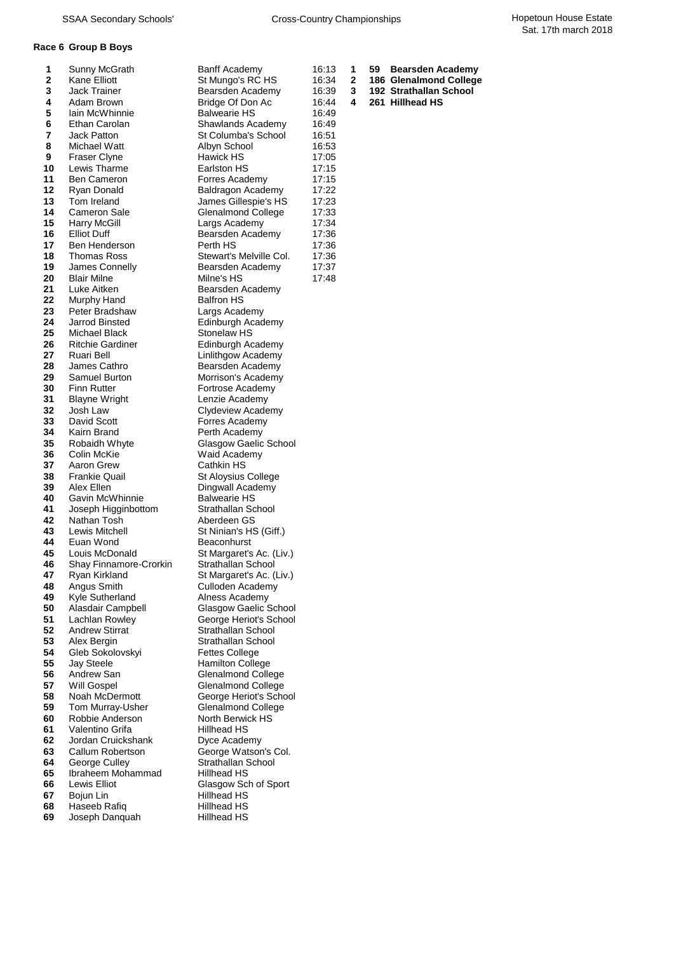## **Race 6 Group B Boys**

| 1           | Sunny McGrath           | <b>Banff Academy</b>         | 16:13 | 1 | 59 | <b>Bearsden Academy</b> |
|-------------|-------------------------|------------------------------|-------|---|----|-------------------------|
| $\mathbf 2$ | Kane Elliott            | St Mungo's RC HS             | 16:34 | 2 |    | 186 Glenalmond College  |
| 3           | Jack Trainer            | Bearsden Academy             | 16:39 | 3 |    | 192 Strathallan School  |
| 4           | Adam Brown              | Bridge Of Don Ac             | 16:44 | 4 |    | 261 Hillhead HS         |
| 5           | lain McWhinnie          | <b>Balwearie HS</b>          | 16:49 |   |    |                         |
| 6           | Ethan Carolan           | Shawlands Academy            | 16:49 |   |    |                         |
| 7           | Jack Patton             | St Columba's School          | 16:51 |   |    |                         |
| 8           | Michael Watt            | Albyn School                 | 16:53 |   |    |                         |
| 9           | <b>Fraser Clyne</b>     | Hawick HS                    | 17:05 |   |    |                         |
| 10          | Lewis Tharme            | Earlston HS                  | 17:15 |   |    |                         |
| 11          | <b>Ben Cameron</b>      | Forres Academy               | 17:15 |   |    |                         |
| 12          | Ryan Donald             | Baldragon Academy            | 17:22 |   |    |                         |
| 13          | Tom Ireland             | James Gillespie's HS         | 17:23 |   |    |                         |
| 14          | Cameron Sale            | Glenalmond College           | 17:33 |   |    |                         |
| 15          | <b>Harry McGill</b>     | Largs Academy                | 17:34 |   |    |                         |
| 16          | <b>Elliot Duff</b>      | Bearsden Academy             | 17:36 |   |    |                         |
| 17          | Ben Henderson           | Perth HS                     | 17:36 |   |    |                         |
| 18          | Thomas Ross             | Stewart's Melville Col.      | 17:36 |   |    |                         |
| 19          | James Connelly          | Bearsden Academy             | 17:37 |   |    |                         |
| 20          | <b>Blair Milne</b>      | Milne's HS                   | 17:48 |   |    |                         |
| 21          | Luke Aitken             | Bearsden Academy             |       |   |    |                         |
| 22          | Murphy Hand             | <b>Balfron HS</b>            |       |   |    |                         |
| 23          | Peter Bradshaw          | Largs Academy                |       |   |    |                         |
| 24          | Jarrod Binsted          | Edinburgh Academy            |       |   |    |                         |
| 25          | Michael Black           | Stonelaw HS                  |       |   |    |                         |
| 26          | <b>Ritchie Gardiner</b> | Edinburgh Academy            |       |   |    |                         |
| 27          | Ruari Bell              | Linlithgow Academy           |       |   |    |                         |
| 28          | James Cathro            | Bearsden Academy             |       |   |    |                         |
| 29          | Samuel Burton           | Morrison's Academy           |       |   |    |                         |
| 30          | Finn Rutter             | Fortrose Academy             |       |   |    |                         |
| 31          | <b>Blayne Wright</b>    | Lenzie Academy               |       |   |    |                         |
| 32          | Josh Law                | Clydeview Academy            |       |   |    |                         |
| 33          | David Scott             | Forres Academy               |       |   |    |                         |
| 34          | Kairn Brand             | Perth Academy                |       |   |    |                         |
| 35          | Robaidh Whyte           | Glasgow Gaelic School        |       |   |    |                         |
| 36          | Colin McKie             | Waid Academy                 |       |   |    |                         |
| 37          | Aaron Grew              | Cathkin HS                   |       |   |    |                         |
| 38          | <b>Frankie Quail</b>    | St Aloysius College          |       |   |    |                         |
| 39          | Alex Ellen              | Dingwall Academy             |       |   |    |                         |
| 40          | Gavin McWhinnie         | <b>Balwearie HS</b>          |       |   |    |                         |
| 41          | Joseph Higginbottom     | Strathallan School           |       |   |    |                         |
| 42          | Nathan Tosh             | Aberdeen GS                  |       |   |    |                         |
| 43          | Lewis Mitchell          | St Ninian's HS (Giff.)       |       |   |    |                         |
| 44          | Euan Wond               | Beaconhurst                  |       |   |    |                         |
| 45          | Louis McDonald          | St Margaret's Ac. (Liv.)     |       |   |    |                         |
| 46          | Shay Finnamore-Crorkin  | Strathallan School           |       |   |    |                         |
| 47          | Ryan Kirkland           | St Margaret's Ac. (Liv.)     |       |   |    |                         |
| 48          | Angus Smith             | Culloden Academy             |       |   |    |                         |
| 49          | Kyle Sutherland         | Alness Academy               |       |   |    |                         |
| 50          | Alasdair Campbell       | <b>Glasgow Gaelic School</b> |       |   |    |                         |
| 51          | Lachlan Rowley          | George Heriot's School       |       |   |    |                         |
| 52          | <b>Andrew Stirrat</b>   | Strathallan School           |       |   |    |                         |
| 53          | Alex Bergin             | Strathallan School           |       |   |    |                         |
| 54          | Gleb Sokolovskyi        | Fettes College               |       |   |    |                         |
| 55          | <b>Jay Steele</b>       | <b>Hamilton College</b>      |       |   |    |                         |
| 56          | Andrew San              | <b>Glenalmond College</b>    |       |   |    |                         |
| 57          | Will Gospel             | <b>Glenalmond College</b>    |       |   |    |                         |
| 58          | Noah McDermott          | George Heriot's School       |       |   |    |                         |
| 59          | Tom Murray-Usher        | <b>Glenalmond College</b>    |       |   |    |                         |
| 60          | Robbie Anderson         | North Berwick HS             |       |   |    |                         |
| 61          | Valentino Grifa         | Hillhead HS                  |       |   |    |                         |
| 62          | Jordan Cruickshank      | Dyce Academy                 |       |   |    |                         |
| 63          | Callum Robertson        | George Watson's Col.         |       |   |    |                         |
| 64          | George Culley           | Strathallan School           |       |   |    |                         |
| 65          | Ibraheem Mohammad       | Hillhead HS                  |       |   |    |                         |
| 66          | Lewis Elliot            | Glasgow Sch of Sport         |       |   |    |                         |
| 67          | Bojun Lin               | Hillhead HS                  |       |   |    |                         |
| 68          | Haseeb Rafiq            | Hillhead HS                  |       |   |    |                         |
| 69          | Joseph Danquah          | Hillhead HS                  |       |   |    |                         |
|             |                         |                              |       |   |    |                         |

- 
- 
- 
- 
-